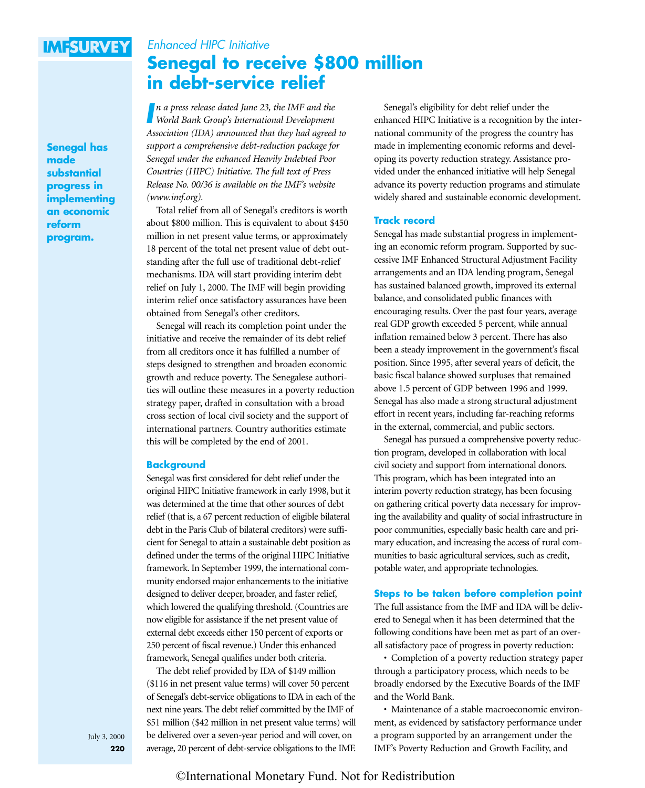## **IMFSURVEY**

## Enhanced HIPC Initiative **[Senegal to receive \\$800 million](#page--1-0) in debt-service relief**

**Senegal has made substantial progress in implementing an economic reform program.**

*I World Bank Group's International Development n a press release dated June 23, the IMF and the Association (IDA) announced that they had agreed to support a comprehensive debt-reduction package for Senegal under the enhanced Heavily Indebted Poor Countries (HIPC) Initiative. The full text of Press Release No. 00/36 is available on the IMF's website [\(www.imf.org\)](www.imf.org).*

Total relief from all of Senegal's creditors is worth about \$800 million. This is equivalent to about \$450 million in net present value terms, or approximately 18 percent of the total net present value of debt outstanding after the full use of traditional debt-relief mechanisms. IDA will start providing interim debt relief on July 1, 2000. The IMF will begin providing interim relief once satisfactory assurances have been obtained from Senegal's other creditors.

Senegal will reach its completion point under the initiative and receive the remainder of its debt relief from all creditors once it has fulfilled a number of steps designed to strengthen and broaden economic growth and reduce poverty. The Senegalese authorities will outline these measures in a poverty reduction strategy paper, drafted in consultation with a broad cross section of local civil society and the support of international partners. Country authorities estimate this will be completed by the end of 2001.

### **Background**

Senegal was first considered for debt relief under the original HIPC Initiative framework in early 1998, but it was determined at the time that other sources of debt relief (that is, a 67 percent reduction of eligible bilateral debt in the Paris Club of bilateral creditors) were sufficient for Senegal to attain a sustainable debt position as defined under the terms of the original HIPC Initiative framework. In September 1999, the international community endorsed major enhancements to the initiative designed to deliver deeper, broader, and faster relief, which lowered the qualifying threshold. (Countries are now eligible for assistance if the net present value of external debt exceeds either 150 percent of exports or 250 percent of fiscal revenue.) Under this enhanced framework, Senegal qualifies under both criteria.

The debt relief provided by IDA of \$149 million (\$116 in net present value terms) will cover 50 percent of Senegal's debt-service obligations to IDA in each of the next nine years. The debt relief committed by the IMF of \$51 million (\$42 million in net present value terms) will be delivered over a seven-year period and will cover, on average, 20 percent of debt-service obligations to the IMF.

Senegal's eligibility for debt relief under the enhanced HIPC Initiative is a recognition by the international community of the progress the country has made in implementing economic reforms and developing its poverty reduction strategy. Assistance provided under the enhanced initiative will help Senegal advance its poverty reduction programs and stimulate widely shared and sustainable economic development.

### **Track record**

Senegal has made substantial progress in implementing an economic reform program. Supported by successive IMF Enhanced Structural Adjustment Facility arrangements and an IDA lending program, Senegal has sustained balanced growth, improved its external balance, and consolidated public finances with encouraging results. Over the past four years, average real GDP growth exceeded 5 percent, while annual inflation remained below 3 percent. There has also been a steady improvement in the government's fiscal position. Since 1995, after several years of deficit, the basic fiscal balance showed surpluses that remained above 1.5 percent of GDP between 1996 and 1999. Senegal has also made a strong structural adjustment effort in recent years, including far-reaching reforms in the external, commercial, and public sectors.

Senegal has pursued a comprehensive poverty reduction program, developed in collaboration with local civil society and support from international donors. This program, which has been integrated into an interim poverty reduction strategy, has been focusing on gathering critical poverty data necessary for improving the availability and quality of social infrastructure in poor communities, especially basic health care and primary education, and increasing the access of rural communities to basic agricultural services, such as credit, potable water, and appropriate technologies.

### **Steps to be taken before completion point**

The full assistance from the IMF and IDA will be delivered to Senegal when it has been determined that the following conditions have been met as part of an overall satisfactory pace of progress in poverty reduction:

• Completion of a poverty reduction strategy paper through a participatory process, which needs to be broadly endorsed by the Executive Boards of the IMF and the World Bank.

• Maintenance of a stable macroeconomic environment, as evidenced by satisfactory performance under a program supported by an arrangement under the IMF's Poverty Reduction and Growth Facility, and